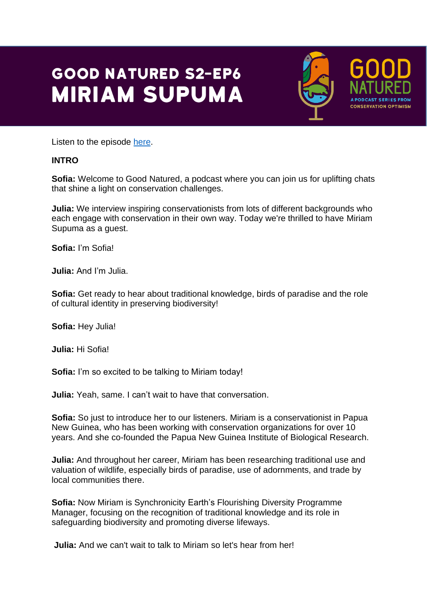# **GOOD NATURED S2-EP6 MIRIAM SUPUMA**



**PODCAST SERIES FRO CONSERVATION OPTIMISM** 

Listen to the episode [here.](https://podfollow.com/1514337431)

### **INTRO**

**Sofia:** Welcome to Good Natured, a podcast where you can join us for uplifting chats that shine a light on conservation challenges.

**Julia:** We interview inspiring conservationists from lots of different backgrounds who each engage with conservation in their own way. Today we're thrilled to have Miriam Supuma as a guest.

**Sofia:** I'm Sofia!

**Julia:** And I'm Julia.

**Sofia:** Get ready to hear about traditional knowledge, birds of paradise and the role of cultural identity in preserving biodiversity!

**Sofia:** Hey Julia!

**Julia:** Hi Sofia!

**Sofia:** I'm so excited to be talking to Miriam today!

**Julia:** Yeah, same. I can't wait to have that conversation.

**Sofia:** So just to introduce her to our listeners. Miriam is a conservationist in Papua New Guinea, who has been working with conservation organizations for over 10 years. And she co-founded the Papua New Guinea Institute of Biological Research.

**Julia:** And throughout her career, Miriam has been researching traditional use and valuation of wildlife, especially birds of paradise, use of adornments, and trade by local communities there.

**Sofia:** Now Miriam is Synchronicity Earth's Flourishing Diversity Programme Manager, focusing on the recognition of traditional knowledge and its role in safeguarding biodiversity and promoting diverse lifeways.

**Julia:** And we can't wait to talk to Miriam so let's hear from her!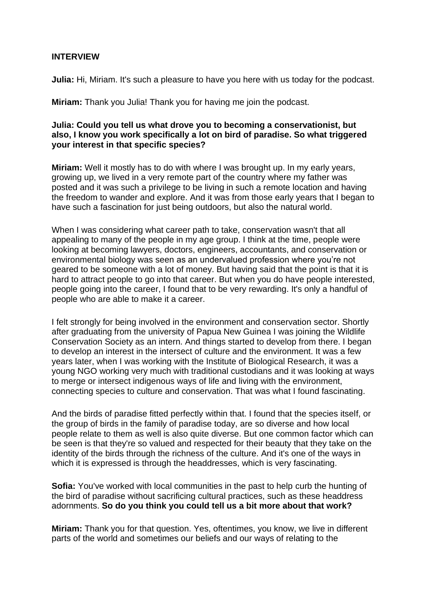#### **INTERVIEW**

**Julia:** Hi, Miriam. It's such a pleasure to have you here with us today for the podcast.

**Miriam:** Thank you Julia! Thank you for having me join the podcast.

#### **Julia: Could you tell us what drove you to becoming a conservationist, but also, I know you work specifically a lot on bird of paradise. So what triggered your interest in that specific species?**

**Miriam:** Well it mostly has to do with where I was brought up. In my early years, growing up, we lived in a very remote part of the country where my father was posted and it was such a privilege to be living in such a remote location and having the freedom to wander and explore. And it was from those early years that I began to have such a fascination for just being outdoors, but also the natural world.

When I was considering what career path to take, conservation wasn't that all appealing to many of the people in my age group. I think at the time, people were looking at becoming lawyers, doctors, engineers, accountants, and conservation or environmental biology was seen as an undervalued profession where you're not geared to be someone with a lot of money. But having said that the point is that it is hard to attract people to go into that career. But when you do have people interested, people going into the career, I found that to be very rewarding. It's only a handful of people who are able to make it a career.

I felt strongly for being involved in the environment and conservation sector. Shortly after graduating from the university of Papua New Guinea I was joining the Wildlife Conservation Society as an intern. And things started to develop from there. I began to develop an interest in the intersect of culture and the environment. It was a few years later, when I was working with the Institute of Biological Research, it was a young NGO working very much with traditional custodians and it was looking at ways to merge or intersect indigenous ways of life and living with the environment, connecting species to culture and conservation. That was what I found fascinating.

And the birds of paradise fitted perfectly within that. I found that the species itself, or the group of birds in the family of paradise today, are so diverse and how local people relate to them as well is also quite diverse. But one common factor which can be seen is that they're so valued and respected for their beauty that they take on the identity of the birds through the richness of the culture. And it's one of the ways in which it is expressed is through the headdresses, which is very fascinating.

**Sofia:** You've worked with local communities in the past to help curb the hunting of the bird of paradise without sacrificing cultural practices, such as these headdress adornments. **So do you think you could tell us a bit more about that work?**

**Miriam:** Thank you for that question. Yes, oftentimes, you know, we live in different parts of the world and sometimes our beliefs and our ways of relating to the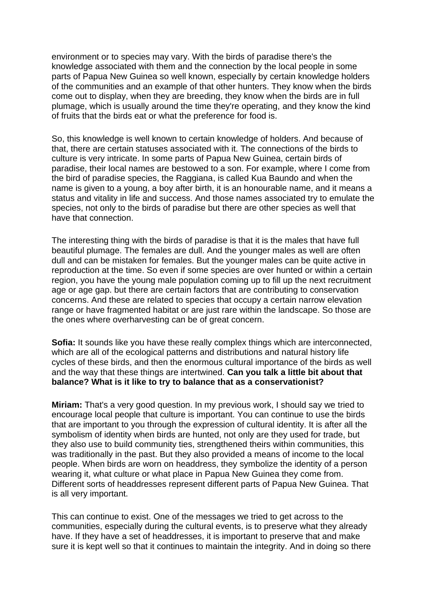environment or to species may vary. With the birds of paradise there's the knowledge associated with them and the connection by the local people in some parts of Papua New Guinea so well known, especially by certain knowledge holders of the communities and an example of that other hunters. They know when the birds come out to display, when they are breeding, they know when the birds are in full plumage, which is usually around the time they're operating, and they know the kind of fruits that the birds eat or what the preference for food is.

So, this knowledge is well known to certain knowledge of holders. And because of that, there are certain statuses associated with it. The connections of the birds to culture is very intricate. In some parts of Papua New Guinea, certain birds of paradise, their local names are bestowed to a son. For example, where I come from the bird of paradise species, the Raggiana, is called Kua Baundo and when the name is given to a young, a boy after birth, it is an honourable name, and it means a status and vitality in life and success. And those names associated try to emulate the species, not only to the birds of paradise but there are other species as well that have that connection.

The interesting thing with the birds of paradise is that it is the males that have full beautiful plumage. The females are dull. And the younger males as well are often dull and can be mistaken for females. But the younger males can be quite active in reproduction at the time. So even if some species are over hunted or within a certain region, you have the young male population coming up to fill up the next recruitment age or age gap. but there are certain factors that are contributing to conservation concerns. And these are related to species that occupy a certain narrow elevation range or have fragmented habitat or are just rare within the landscape. So those are the ones where overharvesting can be of great concern.

**Sofia:** It sounds like you have these really complex things which are interconnected, which are all of the ecological patterns and distributions and natural history life cycles of these birds, and then the enormous cultural importance of the birds as well and the way that these things are intertwined. **Can you talk a little bit about that balance? What is it like to try to balance that as a conservationist?**

**Miriam:** That's a very good question. In my previous work, I should say we tried to encourage local people that culture is important. You can continue to use the birds that are important to you through the expression of cultural identity. It is after all the symbolism of identity when birds are hunted, not only are they used for trade, but they also use to build community ties, strengthened theirs within communities, this was traditionally in the past. But they also provided a means of income to the local people. When birds are worn on headdress, they symbolize the identity of a person wearing it, what culture or what place in Papua New Guinea they come from. Different sorts of headdresses represent different parts of Papua New Guinea. That is all very important.

This can continue to exist. One of the messages we tried to get across to the communities, especially during the cultural events, is to preserve what they already have. If they have a set of headdresses, it is important to preserve that and make sure it is kept well so that it continues to maintain the integrity. And in doing so there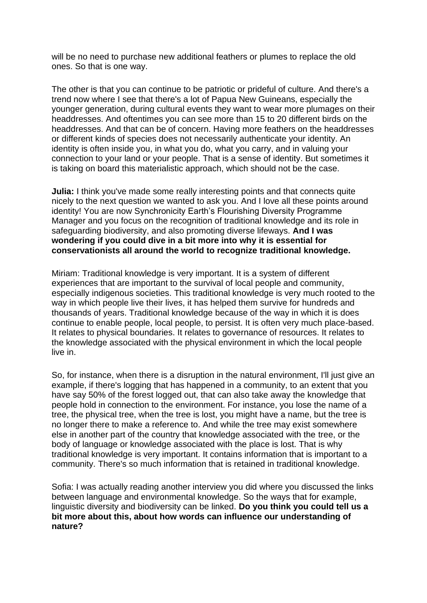will be no need to purchase new additional feathers or plumes to replace the old ones. So that is one way.

The other is that you can continue to be patriotic or prideful of culture. And there's a trend now where I see that there's a lot of Papua New Guineans, especially the younger generation, during cultural events they want to wear more plumages on their headdresses. And oftentimes you can see more than 15 to 20 different birds on the headdresses. And that can be of concern. Having more feathers on the headdresses or different kinds of species does not necessarily authenticate your identity. An identity is often inside you, in what you do, what you carry, and in valuing your connection to your land or your people. That is a sense of identity. But sometimes it is taking on board this materialistic approach, which should not be the case.

**Julia:** I think you've made some really interesting points and that connects quite nicely to the next question we wanted to ask you. And I love all these points around identity! You are now Synchronicity Earth's Flourishing Diversity Programme Manager and you focus on the recognition of traditional knowledge and its role in safeguarding biodiversity, and also promoting diverse lifeways. **And I was wondering if you could dive in a bit more into why it is essential for conservationists all around the world to recognize traditional knowledge.**

Miriam: Traditional knowledge is very important. It is a system of different experiences that are important to the survival of local people and community, especially indigenous societies. This traditional knowledge is very much rooted to the way in which people live their lives, it has helped them survive for hundreds and thousands of years. Traditional knowledge because of the way in which it is does continue to enable people, local people, to persist. It is often very much place-based. It relates to physical boundaries. It relates to governance of resources. It relates to the knowledge associated with the physical environment in which the local people live in.

So, for instance, when there is a disruption in the natural environment, I'll just give an example, if there's logging that has happened in a community, to an extent that you have say 50% of the forest logged out, that can also take away the knowledge that people hold in connection to the environment. For instance, you lose the name of a tree, the physical tree, when the tree is lost, you might have a name, but the tree is no longer there to make a reference to. And while the tree may exist somewhere else in another part of the country that knowledge associated with the tree, or the body of language or knowledge associated with the place is lost. That is why traditional knowledge is very important. It contains information that is important to a community. There's so much information that is retained in traditional knowledge.

Sofia: I was actually reading another interview you did where you discussed the links between language and environmental knowledge. So the ways that for example, linguistic diversity and biodiversity can be linked. **Do you think you could tell us a bit more about this, about how words can influence our understanding of nature?**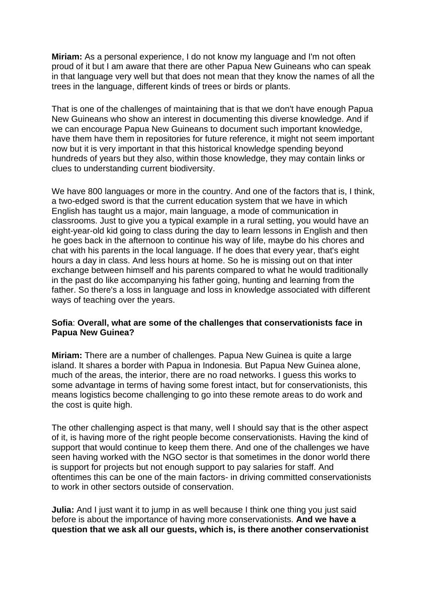**Miriam:** As a personal experience, I do not know my language and I'm not often proud of it but I am aware that there are other Papua New Guineans who can speak in that language very well but that does not mean that they know the names of all the trees in the language, different kinds of trees or birds or plants.

That is one of the challenges of maintaining that is that we don't have enough Papua New Guineans who show an interest in documenting this diverse knowledge. And if we can encourage Papua New Guineans to document such important knowledge, have them have them in repositories for future reference, it might not seem important now but it is very important in that this historical knowledge spending beyond hundreds of years but they also, within those knowledge, they may contain links or clues to understanding current biodiversity.

We have 800 languages or more in the country. And one of the factors that is, I think, a two-edged sword is that the current education system that we have in which English has taught us a major, main language, a mode of communication in classrooms. Just to give you a typical example in a rural setting, you would have an eight-year-old kid going to class during the day to learn lessons in English and then he goes back in the afternoon to continue his way of life, maybe do his chores and chat with his parents in the local language. If he does that every year, that's eight hours a day in class. And less hours at home. So he is missing out on that inter exchange between himself and his parents compared to what he would traditionally in the past do like accompanying his father going, hunting and learning from the father. So there's a loss in language and loss in knowledge associated with different ways of teaching over the years.

#### **Sofia**: **Overall, what are some of the challenges that conservationists face in Papua New Guinea?**

**Miriam:** There are a number of challenges. Papua New Guinea is quite a large island. It shares a border with Papua in Indonesia. But Papua New Guinea alone, much of the areas, the interior, there are no road networks. I guess this works to some advantage in terms of having some forest intact, but for conservationists, this means logistics become challenging to go into these remote areas to do work and the cost is quite high.

The other challenging aspect is that many, well I should say that is the other aspect of it, is having more of the right people become conservationists. Having the kind of support that would continue to keep them there. And one of the challenges we have seen having worked with the NGO sector is that sometimes in the donor world there is support for projects but not enough support to pay salaries for staff. And oftentimes this can be one of the main factors- in driving committed conservationists to work in other sectors outside of conservation.

**Julia:** And I just want it to jump in as well because I think one thing you just said before is about the importance of having more conservationists. **And we have a question that we ask all our guests, which is, is there another conservationist**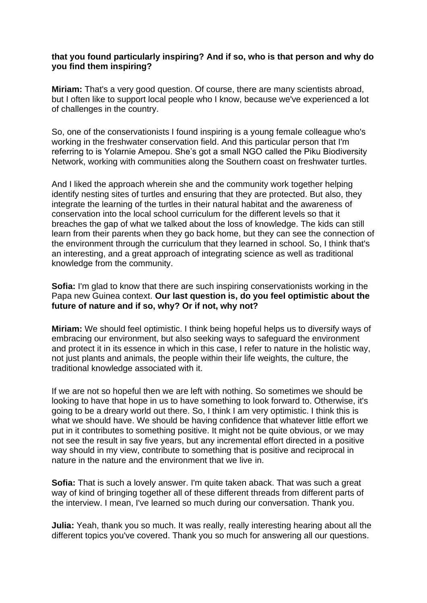#### **that you found particularly inspiring? And if so, who is that person and why do you find them inspiring?**

**Miriam:** That's a very good question. Of course, there are many scientists abroad, but I often like to support local people who I know, because we've experienced a lot of challenges in the country.

So, one of the conservationists I found inspiring is a young female colleague who's working in the freshwater conservation field. And this particular person that I'm referring to is Yolarnie Amepou. She's got a small NGO called the Piku Biodiversity Network, working with communities along the Southern coast on freshwater turtles.

And I liked the approach wherein she and the community work together helping identify nesting sites of turtles and ensuring that they are protected. But also, they integrate the learning of the turtles in their natural habitat and the awareness of conservation into the local school curriculum for the different levels so that it breaches the gap of what we talked about the loss of knowledge. The kids can still learn from their parents when they go back home, but they can see the connection of the environment through the curriculum that they learned in school. So, I think that's an interesting, and a great approach of integrating science as well as traditional knowledge from the community.

**Sofia:** I'm glad to know that there are such inspiring conservationists working in the Papa new Guinea context. **Our last question is, do you feel optimistic about the future of nature and if so, why? Or if not, why not?**

**Miriam:** We should feel optimistic. I think being hopeful helps us to diversify ways of embracing our environment, but also seeking ways to safeguard the environment and protect it in its essence in which in this case, I refer to nature in the holistic way, not just plants and animals, the people within their life weights, the culture, the traditional knowledge associated with it.

If we are not so hopeful then we are left with nothing. So sometimes we should be looking to have that hope in us to have something to look forward to. Otherwise, it's going to be a dreary world out there. So, I think I am very optimistic. I think this is what we should have. We should be having confidence that whatever little effort we put in it contributes to something positive. It might not be quite obvious, or we may not see the result in say five years, but any incremental effort directed in a positive way should in my view, contribute to something that is positive and reciprocal in nature in the nature and the environment that we live in.

**Sofia:** That is such a lovely answer. I'm quite taken aback. That was such a great way of kind of bringing together all of these different threads from different parts of the interview. I mean, I've learned so much during our conversation. Thank you.

**Julia:** Yeah, thank you so much. It was really, really interesting hearing about all the different topics you've covered. Thank you so much for answering all our questions.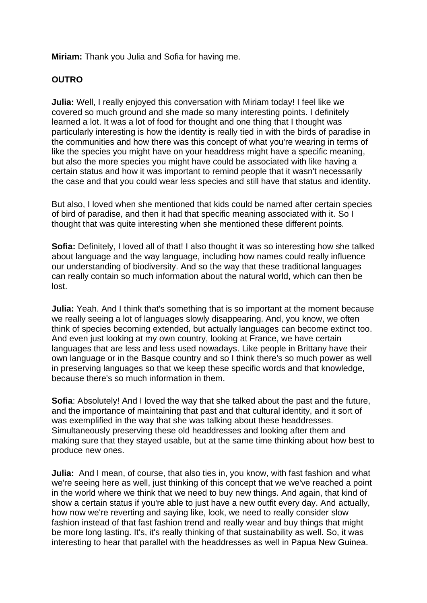**Miriam:** Thank you Julia and Sofia for having me.

## **OUTRO**

**Julia:** Well, I really enjoyed this conversation with Miriam today! I feel like we covered so much ground and she made so many interesting points. I definitely learned a lot. It was a lot of food for thought and one thing that I thought was particularly interesting is how the identity is really tied in with the birds of paradise in the communities and how there was this concept of what you're wearing in terms of like the species you might have on your headdress might have a specific meaning, but also the more species you might have could be associated with like having a certain status and how it was important to remind people that it wasn't necessarily the case and that you could wear less species and still have that status and identity.

But also, I loved when she mentioned that kids could be named after certain species of bird of paradise, and then it had that specific meaning associated with it. So I thought that was quite interesting when she mentioned these different points.

**Sofia:** Definitely, I loved all of that! I also thought it was so interesting how she talked about language and the way language, including how names could really influence our understanding of biodiversity. And so the way that these traditional languages can really contain so much information about the natural world, which can then be lost.

**Julia:** Yeah. And I think that's something that is so important at the moment because we really seeing a lot of languages slowly disappearing. And, you know, we often think of species becoming extended, but actually languages can become extinct too. And even just looking at my own country, looking at France, we have certain languages that are less and less used nowadays. Like people in Brittany have their own language or in the Basque country and so I think there's so much power as well in preserving languages so that we keep these specific words and that knowledge, because there's so much information in them.

**Sofia**: Absolutely! And I loved the way that she talked about the past and the future, and the importance of maintaining that past and that cultural identity, and it sort of was exemplified in the way that she was talking about these headdresses. Simultaneously preserving these old headdresses and looking after them and making sure that they stayed usable, but at the same time thinking about how best to produce new ones.

**Julia:** And I mean, of course, that also ties in, you know, with fast fashion and what we're seeing here as well, just thinking of this concept that we we've reached a point in the world where we think that we need to buy new things. And again, that kind of show a certain status if you're able to just have a new outfit every day. And actually, how now we're reverting and saying like, look, we need to really consider slow fashion instead of that fast fashion trend and really wear and buy things that might be more long lasting. It's, it's really thinking of that sustainability as well. So, it was interesting to hear that parallel with the headdresses as well in Papua New Guinea.